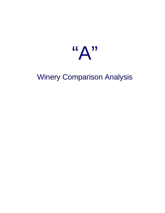

# Winery Comparison Analysis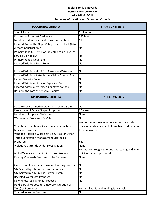## **Taylor Family Vineyards Permit # P15-00291-UP APN 039-040-016 Summary of Location and Operation Critieria**

| <b>LOCATIONAL CRITERIA</b>                         | <b>STAFF COMMENTS</b>                                |  |  |  |  |  |  |
|----------------------------------------------------|------------------------------------------------------|--|--|--|--|--|--|
| Size of Parcel                                     | 21.1 acres                                           |  |  |  |  |  |  |
| Proximity of Nearest Residence                     | 835 feet                                             |  |  |  |  |  |  |
| Number of Wineries Located Within One Mile         | 15                                                   |  |  |  |  |  |  |
| Located Within the Napa Valley Business Park (AKA  |                                                      |  |  |  |  |  |  |
| Airport Industrial Area)                           | No                                                   |  |  |  |  |  |  |
| Primary Road Currently or Projected to be Level of |                                                      |  |  |  |  |  |  |
| Service D or Below                                 | No                                                   |  |  |  |  |  |  |
| Primary Road a Dead End                            | No                                                   |  |  |  |  |  |  |
| Located Within a Flood Zone                        | No                                                   |  |  |  |  |  |  |
|                                                    |                                                      |  |  |  |  |  |  |
| Located Within a Municipal Reservoir Watershed     | No                                                   |  |  |  |  |  |  |
| Located Within a State Responsibility Area or Fire |                                                      |  |  |  |  |  |  |
| <b>Hazard Severity Zone</b>                        | No                                                   |  |  |  |  |  |  |
| Located Within an Area of Expansive Soils          | <b>No</b>                                            |  |  |  |  |  |  |
| Located Within a Protected County Viewshed         | No                                                   |  |  |  |  |  |  |
| Result in the Loss of Sensitive Habitat            | No                                                   |  |  |  |  |  |  |
| <b>OPERATIONAL CRITERIA</b>                        | <b>STAFF COMMENTS</b>                                |  |  |  |  |  |  |
|                                                    |                                                      |  |  |  |  |  |  |
| Napa Green Certified or Other Related Program      | No                                                   |  |  |  |  |  |  |
| Percentage of Estate Grapes Proposed               | 10 acres                                             |  |  |  |  |  |  |
| Number of Proposed Variances                       | None                                                 |  |  |  |  |  |  |
| <b>Wastewater Processed On-Site</b>                | <b>No</b>                                            |  |  |  |  |  |  |
|                                                    | Yes, four measures incorporated such as water        |  |  |  |  |  |  |
| <b>Voluntary Greenhouse Gas Emission Reduction</b> | efficient landscaping and alternative work schedules |  |  |  |  |  |  |
| <b>Measures Proposed</b>                           | for employees.                                       |  |  |  |  |  |  |
| Vanpools, Flexible Work Shifts, Shuttles, or Other |                                                      |  |  |  |  |  |  |
| <b>Traffic Congestion Management Strategies</b>    |                                                      |  |  |  |  |  |  |
| Proposed                                           | Yes                                                  |  |  |  |  |  |  |
| Violations Currently Under Investigation           | None                                                 |  |  |  |  |  |  |
|                                                    | Yes, native drought tolerant landscaping and water   |  |  |  |  |  |  |
| High Efficiency Water Use Measures Proposed        | efficient fixtures proposed                          |  |  |  |  |  |  |
| Existing Vineyards Proposed to be Removed          | None                                                 |  |  |  |  |  |  |
| On-Site Employee or Farmworker Housing Proposed    | <b>INo</b>                                           |  |  |  |  |  |  |
| Site Served by a Municipal Water Supply            | No                                                   |  |  |  |  |  |  |
| Site Served by a Municipal Sewer System            | No                                                   |  |  |  |  |  |  |
| Recycled Water Use Proposed                        | No                                                   |  |  |  |  |  |  |
| New Vineyards Plantings Proposed                   | No                                                   |  |  |  |  |  |  |
| Hold & Haul Proposed: Temporary (Duration of       |                                                      |  |  |  |  |  |  |
| Time) or Permanent                                 | Yes, until additional funding is available.          |  |  |  |  |  |  |
| Trucked in Water Proposed                          | No                                                   |  |  |  |  |  |  |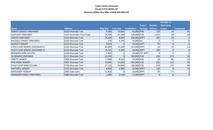## **Taylor Family Vineyards Permit # P15-00291-UP Wineries Within One Mile of APN 039-040-016**

|                                       |                            |                  |                  |                   | Tours/                   | <b>Weekly</b>  | <b>Number of</b><br><b>Marketing</b> |                  |
|---------------------------------------|----------------------------|------------------|------------------|-------------------|--------------------------|----------------|--------------------------------------|------------------|
| <b>Name</b>                           | <b>Address</b>             | <b>Bldg Size</b> | <b>Cave Size</b> | <b>Production</b> | <b>Tastings Visitors</b> |                | <b>Events</b>                        | <b>Employees</b> |
| <b>ROBERT SINSKEY VINEYARDS</b>       | 6320 Silverado Trail       | 9,000            | 10,685           | 65,000 PUB        |                          | 129            | 14                                   | 10               |
| <b>CLIFFLEDE VINEYARDS</b>            | 1473 Yountville Cross Road | 26,430           | 31,300           | 120,000 PUB       |                          | 1,015          | 18                                   | 24               |
| <b>SHAFER VINEYARDS</b>               | 6154 Silverado Trail       | 33,630           | 8,900            | 200,000 APPT      |                          | 105            | 29                                   |                  |
| <b>BALDACCI FAMILY VINEYARDS</b>      | 6236 Silverado Trail       | 576              | 9,240            | $20,000$ No       |                          |                | 0                                    | $\Omega$         |
| QUIXOTE WINERY                        | 6126 Silverado Trail       | 8,050            | 01               | 20,000 APPT       |                          | 70             | 0                                    |                  |
| <b>STAG'S LEAP WINERY (DOUMANI 5)</b> | 6130 Silverado Trail       | 64,689           | 23,500           | 315,000 APPT      |                          | 10             | 25                                   | 12               |
| STAG'S LEAP WINERY (DOUMANI 1)        | 6150 Silverado Trail       | 20,739           | 3,200            | 60,000 APPT       |                          | 280            | $\overline{0}$                       |                  |
| <b>BERINGER WINE ESTATES</b>          | 6148 Silverado Trail       | 5,400            |                  |                   | 20,000 TST APPT          |                |                                      |                  |
| <b>SILVERADO VINEYARDS</b>            | 6121 Silverado Trail       | 65,030           | 01               | 360,000 PUB       |                          | 250            | 271                                  | 16               |
| <b>ODETTE WINERY</b>                  | 5998 Silverado Trail       | 17,680           | 8,160            | 59,999 PUB        |                          | 24             | 96                                   | 14               |
| <b>PINE RIDGE WINERY</b>              | 5901 Silverado Trail       | 35,896           | 31,830           | 300,000 PUB       |                          | 833            | 112                                  | 30               |
| <b>STAG'S LEAP WINE CELLARS</b>       | 5766 Silverado Trail       | 57,120           | 34,860           | 330,000 PUB       |                          | 350            | 153                                  | 86               |
| <b>HARTWELL WINERY</b>                | 5765 Silverado Trail       | 8,000            | 5,000            | 36,000 APPT       |                          | 120            | 8 <sup>1</sup>                       | 10               |
| <b>KAPSCANDY WINERY</b>               | 1005 State Lane            | 11,820           |                  | 20,000 APPT       |                          | 36             | 27                                   |                  |
| <b>ROBINSON FAMILY VINEYARDS</b>      | 5880 Silverado Trail       | 1,086            | 2,100            | 15,000 APPT       |                          | 8 <sup>1</sup> | 8 <sup>1</sup>                       | $\Omega$         |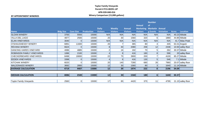## **Taylor Family Vineyards Permit # P15-00291-UP APN 039-040-016**<br>**Winery Comparison (15,000 gallons)**

#### **Winery Comparison (15,000 gallons) BY APPOINTMENT WINERIES**

|                                |                  |                  |                   |                 |                 |                 |                                  | <b>Number</b>  |                   |              |                    |
|--------------------------------|------------------|------------------|-------------------|-----------------|-----------------|-----------------|----------------------------------|----------------|-------------------|--------------|--------------------|
|                                |                  |                  |                   |                 |                 |                 | Annual                           | <b>of</b>      |                   |              |                    |
|                                |                  |                  |                   | <b>Daily</b>    | <b>Weekly</b>   | <b>Annual</b>   | <b>Marketing Marketin Annual</b> |                |                   |              |                    |
| <b>Name</b>                    | <b>Bldg Size</b> | <b>Cave Size</b> | <b>Production</b> | <b>Visitors</b> | <b>Visitors</b> | <b>Visitors</b> | <b>Visitors</b>                  | g Events       | <b>Visitation</b> | <b>Acres</b> | Location           |
| <b>SLOAN WINERY</b>            | 3700             | 5593             | 15000             | N/A             | N/A             | N/A             | N/A                              | N/A            | N/A               |              | 40.23 hillside     |
| <b>VILLA DEL LAGO</b>          | 4877             | 2500             | 15000             | 20              | 30              | 1560            | 320                              | $6 \mid$       | 1880              |              | 44.85 hillside     |
| <b>ELAN VINEYARDS</b>          | 3040             | $\Omega$         | 15000             | N/A             | N/A             | N/A             | N/A                              | N/A            | N/A               |              | 41.7 Atlas Peak    |
| <b>O'SHAUGNESSY WINERY</b>     | 6891             | 11600            | 15000             | 20              |                 | 365             | 80                               |                | 445               |              | $63.31$ Angwin     |
| <b>REVANA WINERY</b>           | 6624             | $\Omega$         | 15000             | 8               | 40              | 2080            | 258                              | 12             | 2338              |              | 10.93 valley floor |
| <b>DANCING HARES VINEYARD</b>  | 4086             | 4885             | 15000             | $\overline{2}$  | 16              | 192             | 70                               | 5              | 262               |              | 30.37 hillside     |
| ROBINSON FAMILY VINEYARDS      | 1086             | 2100             | 15000             | 4               | 8 <sup>1</sup>  | 416             | 180                              | 8              | 596               |              | 20 valley floor    |
| CHECKERBOARD VINEYARDS         | 8498             | 19000            | 15000             | 22              | 75              | 3900            | 200                              |                | 4100              |              | 85.27 hillside     |
| <b>EEDEN VINEYARDS</b>         | 3398             | $\Omega$         | 15000             | $\overline{4}$  | 8 <sup>1</sup>  | 416             | 130                              |                | 546               |              | $7.1$ hillside     |
| <b>KITCHAK WINERY</b>          | 6020             | $\Omega$         | 15000             | 20              | 140             | 7280            | 680                              | 26             | 7960              |              | 20.07 valley floor |
| <b>MALDONADO WINERY</b>        | 3692             | 2800             | 15000             | 12              | 30              | 1560            | 80                               | 3              | 1640              |              | 11.14 hillside     |
| <b>AVERAGE CALCULATION</b>     | 4719             | 4407             | 15000             | 12              | 39              | 1974            | 222                              | 8              | 2196              | 34.09        |                    |
|                                |                  |                  |                   |                 |                 |                 |                                  |                |                   |              |                    |
| <b>MEDIAN CALCULATION</b>      | 4086             | 2500             | 15000             | 12              | 30 <sup>1</sup> | 1560            | 180                              | 6 <sup>1</sup> | 1640              | 30.37        |                    |
|                                |                  |                  |                   |                 |                 |                 |                                  |                |                   |              |                    |
| <b>Taylor Family Vineyards</b> | 2560             | 0                | 15000             | 17              | 85              | 4420            | 375                              | 11             | 4795              |              | 21.15 valley floor |